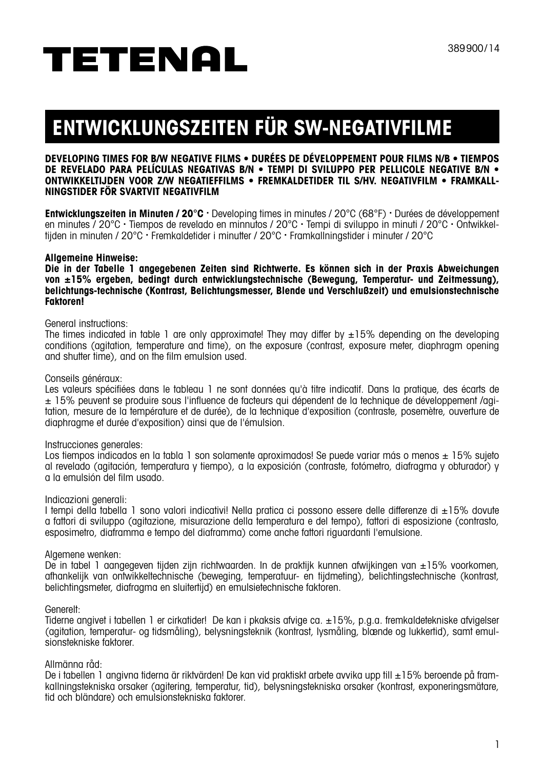# **ENTWICKLUNGSZEITEN FÜR SW-NEGATIVFILME**

### **Developing times for b/w negative films • Durées de développement pour films n/b • Tiempos de revelado para películas negativas b/n • Tempi di sviluppo per pellicole negative b/n • Ontwikkeltijden voor z/w negaTIEFfilms • Fremkaldetider til s/hv. negativfilm • Framkallningstider för svartvit negativfilm**

**Entwicklungszeiten in Minuten / 20°C .** Developing times in minutes / 20°C (68°F) **.** Durées de développement en minutes / 20°C **.** Tiempos de revelado en minnutos / 20°C **.** Tempi di sviluppo in minuti / 20°C **.** Ontwikkeltijden in minuten / 20°C **.** Fremkaldetider i minutter / 20°C **.** Framkallningstider i minuter / 20°C

### **Allgemeine Hinweise:**

**Die in der Tabelle 1 angegebenen Zeiten sind Richtwerte. Es können sich in der Praxis Abweichungen von ±15% ergeben, bedingt durch entwicklungstechnische (Bewegung, Temperatur- und Zeitmessung), belichtungs-technische (Kontrast, Belichtungsmesser, Blende und Verschlußzeit) und emulsionstechnische Faktoren!**

### General instructions:

The times indicated in table 1 are only approximate! They may differ by  $\pm 15\%$  depending on the developing conditions (agitation, temperature and time), on the exposure (contrast, exposure meter, diaphragm opening and shutter time), and on the film emulsion used.

### Conseils généraux:

Les valeurs spécifiées dans le tableau 1 ne sont données au'à titre indicatif. Dans la pratique, des écarts de ± 15% peuvent se produire sous l'influence de facteurs qui dépendent de la technique de développement /agitation, mesure de la température et de durée), de la technique d'exposition (contraste, posemètre, ouverture de diaphragme et durée d'exposition) ainsi que de l'émulsion.

### Instrucciones generales:

Los tiempos indicados en la tabla 1 son solamente aproximados! Se puede variar más o menos ± 15% sujeto al revelado (agitación, temperatura y tiempo), a la exposición (contraste, fotómetro, diafragma y obturador) y a la emulsión del film usado.

### Indicazioni generali:

I tempi della tabella 1 sono valori indicativi! Nella pratica ci possono essere delle differenze di ±15% dovute a fattori di sviluppo (agitazione, misurazione della temperatura e del tempo), fattori di esposizione (contrasto, esposimetro, diaframma e tempo del diaframma) come anche fattori riguardanti l'emulsione.

### Algemene wenken:

De in tabel 1 aangegeven tijden zijn richtwaarden. In de praktijk kunnen afwijkingen van ±15% voorkomen, afhankelijk van ontwikkeltechnische (beweging, temperatuur- en tijdmeting), belichtingstechnische (kontrast, belichtingsmeter, diafragma en sluitertijd) en emulsietechnische faktoren.

### Generelt:

Tiderne angivet i tabellen 1 er cirkatider! De kan i pkaksis afvige ca. ±15%, p.g.a. fremkaldetekniske afvigelser (agitation, temperatur- og tidsmåling), belysningsteknik (kontrast, lysmåling, blænde og lukkertid), samt emulsionstekniske faktorer.

### Allmänna råd:

De i tabellen 1 angivna tiderna är riktvärden! De kan vid praktiskt arbete avvika upp till ±15% beroende på framkallningstekniska orsaker (agitering, temperatur, tid), belysningstekniska orsaker (kontrast, exponeringsmätare, tid och bländare) och emulsionstekniska faktorer.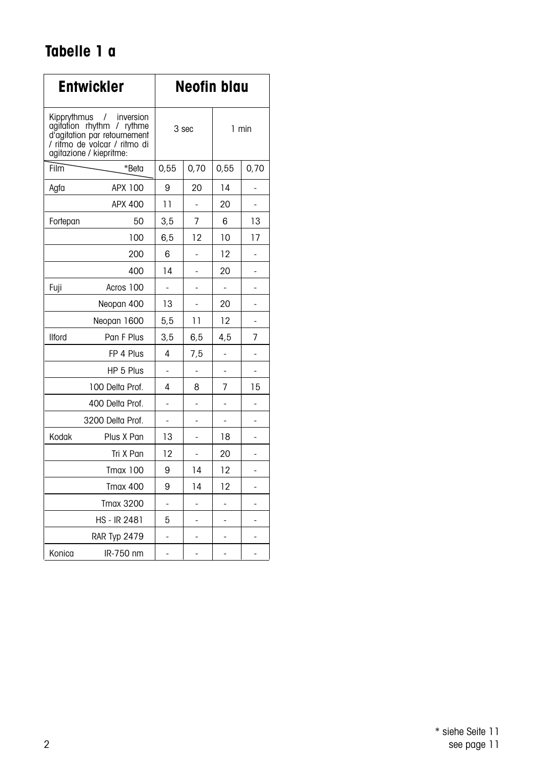## **Tabelle 1 a**

|                            | <b>Entwickler</b>                                                                                                             | <b>Neofin blau</b> |                |       |      |  |  |
|----------------------------|-------------------------------------------------------------------------------------------------------------------------------|--------------------|----------------|-------|------|--|--|
| Kipprythmus /<br>aaitation | inversion<br>$r$ hythm /<br>rythme<br>d'agitation par retournement<br>/ ritmo de volcar / ritmo di<br>agitazione / kiepritme: |                    | 3 sec          | 1 min |      |  |  |
| Film                       | *Beta                                                                                                                         | 0,55               | 0,70           | 0,55  | 0,70 |  |  |
| Agfa                       | APX 100                                                                                                                       | 9                  | 20             | 14    |      |  |  |
|                            | APX 400                                                                                                                       | 11                 | -              | 20    | ÷    |  |  |
| Fortepan                   | 50                                                                                                                            |                    | $\overline{7}$ | 6     | 13   |  |  |
|                            | 100                                                                                                                           |                    | 12             | 10    | 17   |  |  |
| 200                        |                                                                                                                               | 6                  |                | 12    |      |  |  |
|                            | 400                                                                                                                           | 14                 | ٠              | 20    | -    |  |  |
| Fuji                       | Acros 100                                                                                                                     |                    | ä,             | L,    | ٠    |  |  |
|                            | Neopan 400                                                                                                                    | 13                 | ä,             | 20    |      |  |  |
|                            | Neopan 1600                                                                                                                   | 5,5                | 11             | 12    | ä,   |  |  |
| <b>Ilford</b>              | Pan F Plus                                                                                                                    | 3,5                | 6, 5           | 4,5   | 7    |  |  |
|                            | FP 4 Plus                                                                                                                     | 4                  | 7,5            |       |      |  |  |
|                            | HP 5 Plus                                                                                                                     |                    | L,             |       | L,   |  |  |
|                            | 100 Delta Prof.                                                                                                               | 4                  | 8              | 7     | 15   |  |  |
|                            | 400 Delta Prof.                                                                                                               |                    |                |       |      |  |  |
|                            | 3200 Delta Prof.                                                                                                              |                    | -              | -     | ۰    |  |  |
| Kodak                      | Plus X Pan                                                                                                                    | 13                 |                | 18    |      |  |  |
|                            | Tri X Pan                                                                                                                     | 12                 | ٠              | 20    | -    |  |  |
|                            | <b>Tmax 100</b>                                                                                                               | 9                  | 14             | 12    |      |  |  |
|                            | <b>Tmax 400</b>                                                                                                               | 9                  | 14             | 12    |      |  |  |
|                            | <b>Tmax 3200</b>                                                                                                              | -                  | ÷,             | ä,    | ä,   |  |  |
|                            | <b>HS - IR 2481</b>                                                                                                           | 5                  | L,             | ä,    |      |  |  |
|                            | RAR Typ 2479                                                                                                                  | -                  |                |       |      |  |  |
| Konica                     | IR-750 nm                                                                                                                     | ä,                 | L,             | L,    | ÷,   |  |  |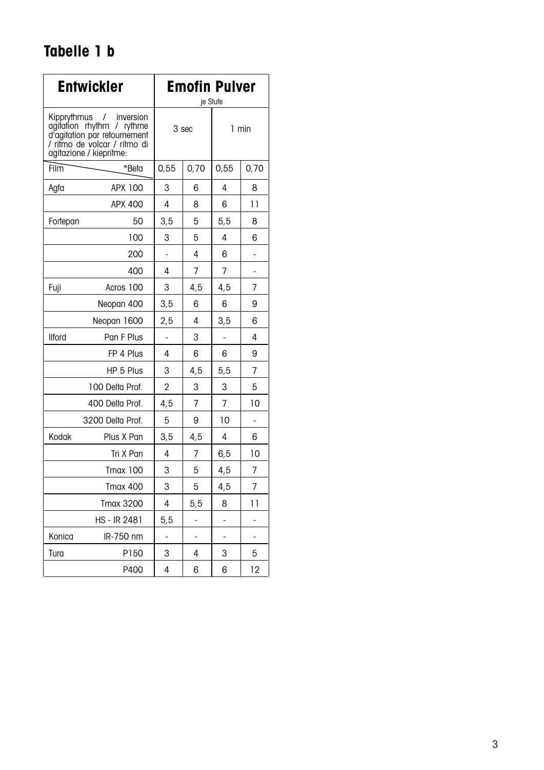## **Tabelle 1 b**

|                   | <b>Entwickler</b>                                                                                                                                | <b>Emofin Pulver</b><br>je Stufe |      |      |                |  |
|-------------------|--------------------------------------------------------------------------------------------------------------------------------------------------|----------------------------------|------|------|----------------|--|
| Kipprythmus       | inversion<br>$\prime$<br>agitation rhythm /<br>rythme<br>d'agitation par retournement<br>/ ritmo de volcar / ritmo di<br>agitazione / kiepritme: | 3 sec                            |      |      | 1 min          |  |
| Film              | *Beta                                                                                                                                            | 0.55                             | 0,70 | 0.55 | 0,70           |  |
| Agfa              | APX 100                                                                                                                                          | 3                                | 6    | 4    | 8              |  |
|                   | APX 400                                                                                                                                          | 4                                | 8    | 6    | 11             |  |
| Fortepan          | 50                                                                                                                                               | 3,5                              | 5    | 5,5  | 8              |  |
|                   | 100                                                                                                                                              | 3                                | 5    | 4    | 6              |  |
|                   | 200                                                                                                                                              |                                  | 4    | 6    | ٠              |  |
|                   | 400                                                                                                                                              | 4                                | 7    | 7    | -              |  |
| Acros 100<br>Fuji |                                                                                                                                                  | 3                                | 4,5  | 4,5  | $\overline{7}$ |  |
| Neopan 400        |                                                                                                                                                  | 3, 5                             | 6    | 6    | 9              |  |
| Neopan 1600       |                                                                                                                                                  | 2,5                              | 4    | 3,5  | 6              |  |
| <b>Ilford</b>     | Pan F Plus                                                                                                                                       |                                  | 3    |      | 4              |  |
|                   | FP 4 Plus                                                                                                                                        | 4                                | 6    | 6    | 9              |  |
|                   | HP 5 Plus                                                                                                                                        | 3                                | 4,5  | 5, 5 | 7              |  |
|                   | 100 Delta Prof.                                                                                                                                  | $\overline{2}$                   | 3    | 3    | 5              |  |
|                   | 400 Delta Prof.                                                                                                                                  | 4.5                              | 7    | 7    | 10             |  |
|                   | 3200 Delta Prof.                                                                                                                                 | 5                                | 9    | 10   | ÷,             |  |
| Kodak             | Plus X Pan                                                                                                                                       | 3,5                              | 4,5  | 4    | 6              |  |
|                   | Tri X Pan                                                                                                                                        | 4                                | 7    | 6,5  | 10             |  |
|                   | <b>Tmax 100</b>                                                                                                                                  | 3                                | 5    | 4,5  | 7              |  |
|                   | <b>Tmax 400</b>                                                                                                                                  | 3                                | 5    | 4,5  | 7              |  |
|                   | <b>Tmax 3200</b>                                                                                                                                 | 4                                | 5,5  | 8    | 11             |  |
|                   | HS - IR 2481                                                                                                                                     | 5, 5                             | i,   | -    | -              |  |
| Konica            | IR-750 nm                                                                                                                                        | ä,                               |      |      |                |  |
| Tura              | P150                                                                                                                                             | 3                                | 4    | 3    | 5              |  |
|                   | P400                                                                                                                                             | 4                                | 6    | 6    | 12             |  |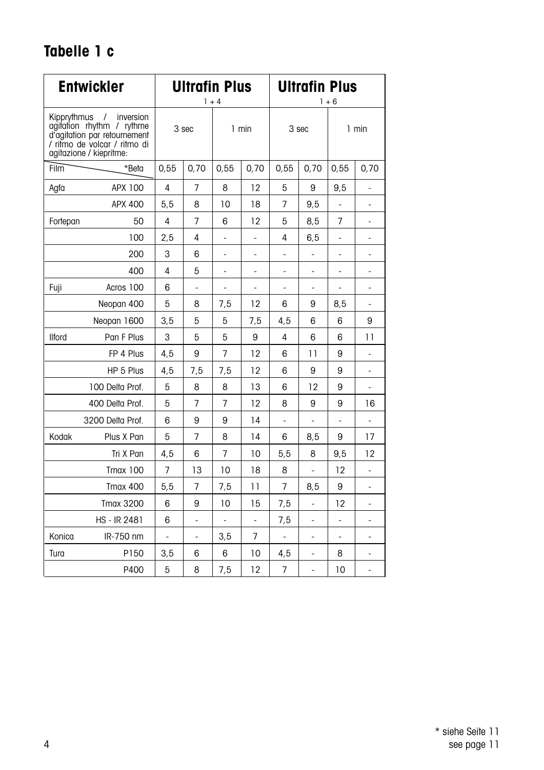## **Tabelle 1 c**

|               | <b>Entwickler</b>                                                                                                                             | <b>Ultrafin Plus</b><br>$1 + 4$ |                |                |                          | <b>Ultrafin Plus</b><br>$1 + 6$ |                          |                          |                          |
|---------------|-----------------------------------------------------------------------------------------------------------------------------------------------|---------------------------------|----------------|----------------|--------------------------|---------------------------------|--------------------------|--------------------------|--------------------------|
| Kipprythmus   | inversion<br>$\prime$<br>agitation rhythm / rythme<br>d'agitation par retournement<br>/ ritmo de volcar / ritmo di<br>agitazione / kiepritme: |                                 | 3 sec<br>1 min |                | 3 sec                    |                                 | 1 min                    |                          |                          |
| Film          | *Beta                                                                                                                                         | 0,55                            | 0,70           | 0,55           | 0,70                     | 0,55                            | 0,70                     | 0,55                     | 0,70                     |
| Agfa          | APX 100                                                                                                                                       | 4                               | 7              | 8              | 12                       | 5                               | 9                        | 9.5                      | ÷.                       |
|               | APX 400                                                                                                                                       | 5,5                             | 8              | 10             | 18                       | 7                               | 9,5                      | ÷,                       | ÷,                       |
| Fortepan      | 50                                                                                                                                            | 4                               | 7              | 6              | 12                       | 5                               | 8,5                      | 7                        | ÷.                       |
|               | 100                                                                                                                                           | 2,5                             | 4              |                | ÷,                       | 4                               | 6,5                      | $\overline{a}$           | $\overline{\phantom{0}}$ |
|               | 200                                                                                                                                           | 3                               | 6              |                |                          | ÷,                              | $\overline{\phantom{a}}$ | $\overline{\phantom{a}}$ |                          |
|               | 400                                                                                                                                           | 4                               | 5              | -              | $\overline{\phantom{0}}$ | -                               | $\overline{\phantom{m}}$ | -                        | $\overline{\phantom{0}}$ |
| Fuji          | Acros 100                                                                                                                                     | 6                               |                |                | -                        | ÷                               |                          | $\overline{\phantom{0}}$ | ٠                        |
|               | Neopan 400                                                                                                                                    | 5                               | 8              | 7,5            | 12                       | 6                               | 9                        | 8,5                      | ÷,                       |
|               | Neopan 1600                                                                                                                                   | 3,5                             | 5              | 5              | 7,5                      | 4,5                             | 6                        | 6                        | 9                        |
| <b>Ilford</b> | Pan F Plus                                                                                                                                    | 3                               | 5              | 5              | 9                        | 4                               | 6                        | 6                        | 11                       |
|               | FP 4 Plus                                                                                                                                     | 4,5                             | 9              | $\overline{7}$ | 12                       | 6                               | 11                       | 9                        | ÷,                       |
|               | HP 5 Plus                                                                                                                                     | 4,5                             | 7,5            | 7,5            | 12                       | 6                               | 9                        | 9                        | ä,                       |
|               | 100 Delta Prof.                                                                                                                               | 5                               | 8              | 8              | 13                       | 6                               | 12                       | 9                        | ÷,                       |
|               | 400 Delta Prof.                                                                                                                               | 5                               | 7              | 7              | 12                       | 8                               | 9                        | 9                        | 16                       |
|               | 3200 Delta Prof.                                                                                                                              | 6                               | 9              | 9              | 14                       | ÷,                              | ä,                       | ä,                       | ÷,                       |
| Kodak         | Plus X Pan                                                                                                                                    | 5                               | 7              | 8              | 14                       | 6                               | 8,5                      | 9                        | 17                       |
|               | Tri X Pan                                                                                                                                     | 4,5                             | 6              | 7              | 10                       | 5,5                             | 8                        | 9,5                      | 12                       |
|               | <b>Tmax 100</b>                                                                                                                               | $\overline{7}$                  | 13             | 10             | 18                       | 8                               |                          | 12                       |                          |
|               | <b>Tmax 400</b>                                                                                                                               | 5.5                             | 7              | 7,5            | 11                       | $\overline{7}$                  | 8,5                      | 9                        | $\overline{\phantom{0}}$ |
|               | <b>Tmax 3200</b>                                                                                                                              | 6                               | 9              | 10             | 15                       | 7,5                             | ÷,                       | 12                       | ٠                        |
|               | HS - IR 2481                                                                                                                                  | 6                               | ä,             |                | $\overline{a}$           | 7,5                             | $\overline{a}$           | $\overline{a}$           | ä,                       |
| Konica        | IR-750 nm                                                                                                                                     | $\frac{1}{2}$                   | ÷,             | 3,5            | 7                        | ÷,                              | ÷,                       | ÷,                       | ÷                        |
| Tura          | P150                                                                                                                                          | 3,5                             | 6              | 6              | 10                       | 4,5                             | ÷,                       | 8                        | ä,                       |
|               | P400                                                                                                                                          | 5                               | 8              | 7,5            | 12                       | $\overline{7}$                  | ÷,                       | 10                       | ÷,                       |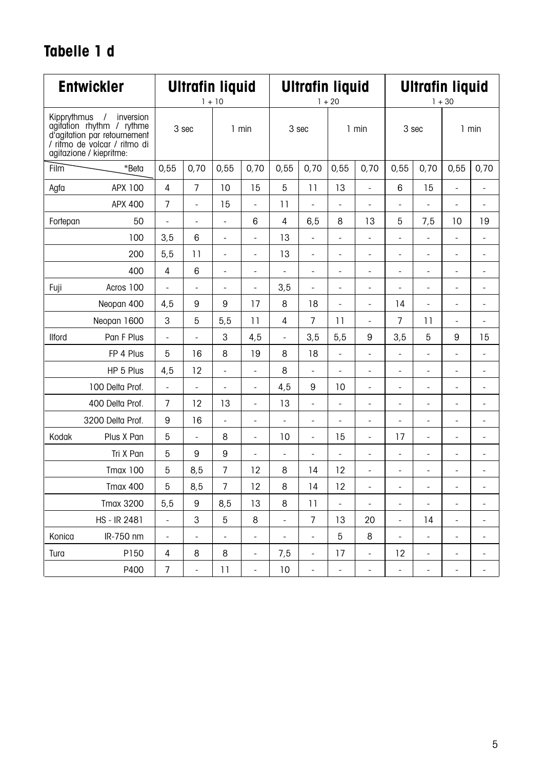## **Tabelle 1 d**

|               | <b>Entwickler</b>                                                                                                                             | <b>Ultrafin liquid</b><br>$1 + 10$ |                 | <b>Ultrafin liquid</b><br>$1 + 20$ |                          |                | <b>Ultrafin liquid</b><br>$1 + 30$ |                          |                              |                          |                              |                          |                          |
|---------------|-----------------------------------------------------------------------------------------------------------------------------------------------|------------------------------------|-----------------|------------------------------------|--------------------------|----------------|------------------------------------|--------------------------|------------------------------|--------------------------|------------------------------|--------------------------|--------------------------|
| Kipprythmus   | inversion<br>$\prime$<br>agitation rhythm / rythme<br>d'agitation par retournement<br>/ ritmo de volcar / ritmo di<br>agitazione / kiepritme: |                                    | 3 sec           |                                    | 1 min                    |                | 3 sec                              |                          | 1 min                        |                          | 3 sec                        |                          | 1 min                    |
| Film          | *Beta                                                                                                                                         | 0.55                               | 0,70            | 0.55                               | 0,70                     | 0,55           | 0,70                               | 0.55                     | 0,70                         | 0.55                     | 0,70                         | 0.55                     | 0,70                     |
| Agfa          | APX 100                                                                                                                                       | 4                                  | $\overline{7}$  | 10                                 | 15                       | 5              | 11                                 | 13                       | $\overline{a}$               | 6                        | 15                           | L.                       | ä,                       |
|               | APX 400                                                                                                                                       | $\overline{7}$                     | $\frac{1}{2}$   | 15                                 | ÷,                       | 11             | ÷,                                 | ÷,                       | ÷,                           | ÷,                       | ÷,                           | ä,                       | ÷,                       |
| Fortepan      | 50                                                                                                                                            | ÷,                                 | ÷,              | ÷,                                 | 6                        | $\overline{4}$ | 6, 5                               | 8                        | 13                           | 5                        | 7,5                          | 10                       | 19                       |
|               | 100                                                                                                                                           | 3,5                                | 6               | $\overline{\phantom{0}}$           | $\frac{1}{2}$            | 13             | ÷,                                 | $\overline{\phantom{a}}$ | Ĭ.                           | $\frac{1}{2}$            | ÷,                           | $\frac{1}{2}$            | $\overline{\phantom{0}}$ |
|               | 200                                                                                                                                           | 5.5                                | $\overline{11}$ | ÷                                  | $\frac{1}{2}$            | 13             | $\qquad \qquad \blacksquare$       | ٠                        | ÷                            | $\overline{\phantom{0}}$ | $\qquad \qquad \blacksquare$ | $\frac{1}{2}$            | ٠                        |
|               | 400                                                                                                                                           | 4                                  | 6               | -                                  | $\overline{\phantom{m}}$ | ÷              | $\overline{\phantom{m}}$           | $\overline{\phantom{m}}$ | i,                           | $\overline{\phantom{0}}$ | $\overline{\phantom{m}}$     | $\overline{\phantom{0}}$ | $\frac{1}{2}$            |
| Fuji          | Acros 100                                                                                                                                     | ä,                                 | ÷,              | ٠                                  | ÷,                       | 3,5            | $\overline{\phantom{0}}$           | $\overline{\phantom{m}}$ | ٠                            | ÷,                       | $\blacksquare$               | ٠                        | ٠                        |
|               | Neopan 400                                                                                                                                    | 4,5                                | 9               | 9                                  | 17                       | 8              | 18                                 | Ĩ.                       | ä,                           | 14                       | ä,                           | L,                       | ä,                       |
|               | Neopan 1600                                                                                                                                   | 3                                  | 5               | 5,5                                | 11                       | $\overline{4}$ | $\overline{7}$                     | $\overline{11}$          | ÷,                           | $\overline{7}$           | 11                           | $\overline{a}$           | ÷,                       |
| <b>Ilford</b> | Pan F Plus                                                                                                                                    | ä,                                 | ä,              | 3                                  | 4,5                      | ä,             | 3,5                                | 5, 5                     | 9                            | 3,5                      | 5                            | 9                        | 15                       |
|               | FP 4 Plus                                                                                                                                     | 5                                  | 16              | 8                                  | 19                       | 8              | 18                                 | ÷,                       | ä,                           | ÷,                       | $\blacksquare$               | ÷,                       | ÷,                       |
|               | HP 5 Plus                                                                                                                                     | 4,5                                | 12              | L.                                 | ä,                       | 8              | ÷,                                 | ä,                       | ä,                           | $\frac{1}{2}$            | $\sim$                       | L,                       | ä,                       |
|               | 100 Delta Prof.                                                                                                                               | $\overline{\phantom{a}}$           | $\frac{1}{2}$   | ÷,                                 | $\frac{1}{2}$            | 4,5            | 9                                  | 10                       | ÷,                           | $\frac{1}{2}$            | ÷,                           | $\frac{1}{2}$            | $\overline{\phantom{a}}$ |
|               | 400 Delta Prof.                                                                                                                               | $\overline{7}$                     | 12              | 13                                 | $\overline{\phantom{a}}$ | 13             | ÷,                                 | $\overline{\phantom{a}}$ | $\qquad \qquad \blacksquare$ | ٠                        | $\overline{\phantom{a}}$     | ٠                        | ٠                        |
|               | 3200 Delta Prof.                                                                                                                              | 9                                  | 16              | ÷,                                 | ÷,                       | ÷,             | ÷,                                 | ÷,                       | ä,                           | ÷,                       | ÷,                           | ÷,                       | ÷,                       |
| Kodak         | Plus X Pan                                                                                                                                    | 5                                  | ÷,              | 8                                  | $\overline{\phantom{m}}$ | 10             | $\overline{\phantom{0}}$           | 15                       | Ĭ.                           | 17                       | ÷,                           | $\overline{\phantom{0}}$ | $\overline{\phantom{m}}$ |
|               | Tri X Pan                                                                                                                                     | 5                                  | 9               | 9                                  | $\frac{1}{2}$            | ÷,             | $\qquad \qquad \blacksquare$       | ÷,                       | ÷                            | $\frac{1}{2}$            | $\qquad \qquad \blacksquare$ | $\frac{1}{2}$            | $\frac{1}{2}$            |
|               | <b>Tmax 100</b>                                                                                                                               | 5                                  | 8,5             | $\overline{7}$                     | 12                       | 8              | 14                                 | 12                       | ä,                           | ÷,                       | ÷,                           | ÷,                       | ä,                       |
|               | <b>Tmax 400</b>                                                                                                                               | 5                                  | 8,5             | $\overline{7}$                     | 12                       | 8              | 14                                 | 12                       | i,                           | $\overline{\phantom{m}}$ | $\overline{\phantom{a}}$     | $\frac{1}{2}$            | $\frac{1}{2}$            |
|               | <b>Tmax 3200</b>                                                                                                                              | 5,5                                | 9               | 8,5                                | 13                       | 8              | $\overline{1}$                     | ÷,                       | ÷,                           | $\frac{1}{2}$            | ÷,                           | $\frac{1}{2}$            | ٠                        |
|               | HS - IR 2481                                                                                                                                  | ÷,                                 | 3               | 5                                  | 8                        | L,             | 7                                  | 13                       | 20                           | ÷,                       | 14                           | L,                       | ÷,                       |
| Konica        | IR-750 nm                                                                                                                                     | ÷,                                 | ä,              | ÷,                                 | $\overline{\phantom{a}}$ | ÷,             | ÷,                                 | 5                        | 8                            | $\overline{\phantom{a}}$ | ÷,                           | $\frac{1}{2}$            | $\frac{1}{2}$            |
| Tura          | P150                                                                                                                                          | 4                                  | 8               | 8                                  | $\frac{1}{2}$            | 7,5            | $\qquad \qquad \blacksquare$       | 17                       | ä,                           | 12                       | ÷,                           | ÷                        | $\frac{1}{2}$            |
|               | P400                                                                                                                                          | $\overline{7}$                     | ÷,              | 11                                 | ÷,                       | 10             | ÷,                                 | ÷,                       | ÷                            | ÷,                       | ÷,                           | ÷,                       | ÷,                       |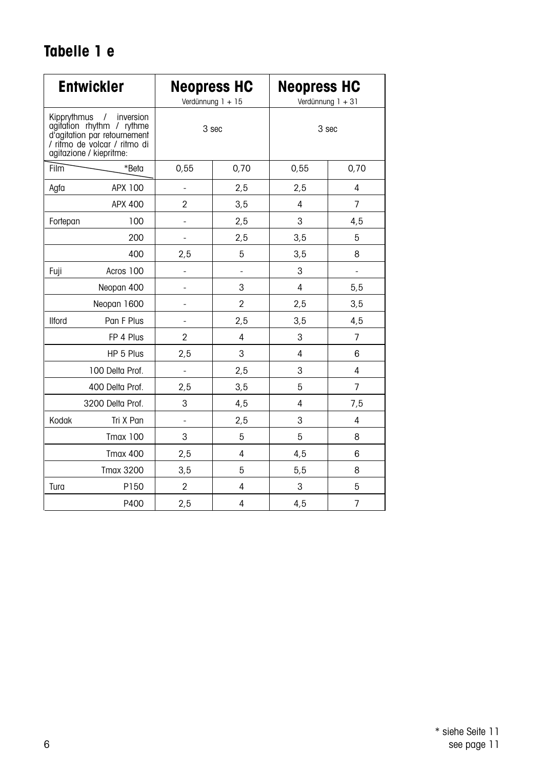## **Tabelle 1 e**

| <b>Entwickler</b> |                                                                                                                                               |                              | <b>Neopress HC</b><br>Verdünnung 1 + 15 | <b>Neopress HC</b><br>Verdünnung 1 + 31 |                |
|-------------------|-----------------------------------------------------------------------------------------------------------------------------------------------|------------------------------|-----------------------------------------|-----------------------------------------|----------------|
| Kipprythmus       | inversion<br>$\prime$<br>agitation rhythm / rythme<br>d'agitation par retournement<br>/ ritmo de volcar / ritmo di<br>agitazione / kiepritme: | 3 sec                        |                                         | 3 sec                                   |                |
| <b>Film</b>       | *Beta                                                                                                                                         | 0,55                         | 0,70                                    | 0,55                                    | 0,70           |
| Agfa              | APX 100                                                                                                                                       | ÷,                           | 2,5                                     | 2,5                                     | 4              |
|                   | APX 400                                                                                                                                       | $\overline{2}$               | 3,5                                     | 4                                       | $\overline{7}$ |
| Fortepan          | 100                                                                                                                                           | ÷,                           | 2,5                                     | 3                                       | 4,5            |
|                   | 200                                                                                                                                           |                              | 2,5                                     | 3,5                                     | 5              |
|                   | 400                                                                                                                                           | 2,5                          | 5                                       | 3,5                                     | 8              |
| Fuji              | Acros 100                                                                                                                                     | ä,                           |                                         | 3                                       | ÷              |
|                   | Neopan 400                                                                                                                                    | ÷,                           | 3                                       | 4                                       | 5,5            |
|                   | Neopan 1600                                                                                                                                   | $\qquad \qquad \blacksquare$ | $\overline{2}$                          | 2,5                                     | 3,5            |
| <b>Ilford</b>     | Pan F Plus                                                                                                                                    | $\qquad \qquad \blacksquare$ | 2,5                                     | 3,5                                     | 4,5            |
|                   | FP 4 Plus                                                                                                                                     | $\overline{2}$               | 4                                       | 3                                       | $\overline{7}$ |
|                   | HP 5 Plus                                                                                                                                     | 2,5                          | 3                                       | 4                                       | 6              |
|                   | 100 Delta Prof.                                                                                                                               | ÷,                           | 2,5                                     | 3                                       | 4              |
|                   | 400 Delta Prof.                                                                                                                               | 2,5                          | 3,5                                     | 5                                       | $\overline{7}$ |
|                   | 3200 Delta Prof.                                                                                                                              | 3                            | 4,5                                     | 4                                       | 7,5            |
| Kodak             | Tri X Pan                                                                                                                                     | $\overline{\phantom{m}}$     | 2,5                                     | 3                                       | 4              |
|                   | <b>Tmax 100</b>                                                                                                                               | 3                            | 5                                       | 5                                       | 8              |
|                   | <b>Tmax 400</b>                                                                                                                               | 2,5                          | 4                                       | 4,5                                     | 6              |
|                   | <b>Tmax 3200</b>                                                                                                                              | 3,5                          | 5                                       | 5,5                                     | 8              |
| Tura              | P150                                                                                                                                          | $\overline{2}$               | 4                                       | 3                                       | 5              |
|                   | P400                                                                                                                                          | 2,5                          | 4                                       | 4,5                                     | $\overline{7}$ |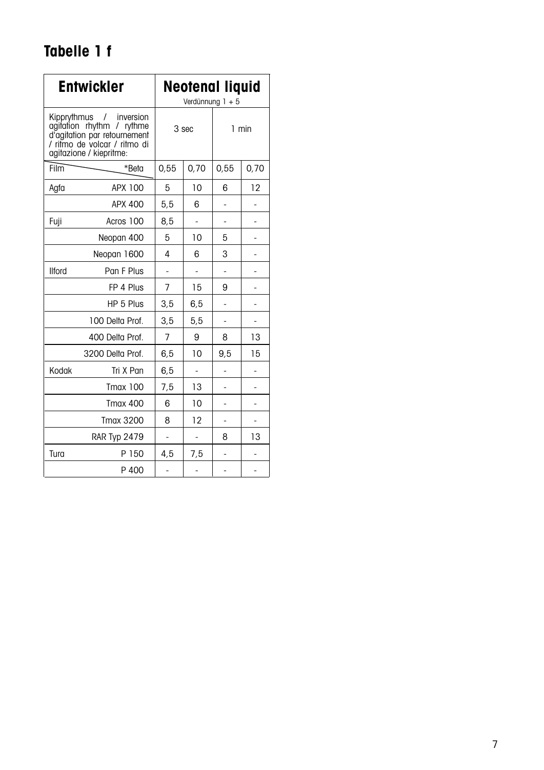## **Tabelle 1 f**

|                                                                                                                                                 | <b>Entwickler</b>   | Neotenal liquid<br>Verdünnung 1 + 5 |                |       |      |  |
|-------------------------------------------------------------------------------------------------------------------------------------------------|---------------------|-------------------------------------|----------------|-------|------|--|
| Kipprythmus / inversion<br>agitation rhythm / rythme<br>d'agitation par retournement<br>/ ritmo de volcar / ritmo di<br>agitazione / kiepritme: |                     | 3 sec                               |                | 1 min |      |  |
| Film                                                                                                                                            | *Beta               | 0,55                                | 0,70           | 0,55  | 0,70 |  |
| Agfa                                                                                                                                            | APX 100             | 5                                   | 10             | 6     | 12   |  |
|                                                                                                                                                 | APX 400             | 5,5                                 | 6              |       |      |  |
| Fuji                                                                                                                                            | Acros 100           |                                     |                |       |      |  |
| Neopan 400                                                                                                                                      |                     | 5                                   | 10             | 5     |      |  |
| Neopan 1600                                                                                                                                     |                     | 4                                   | 6              | 3     |      |  |
| <b>Ilford</b>                                                                                                                                   | Pan F Plus          | ä,                                  | ä,             | L,    |      |  |
|                                                                                                                                                 | FP 4 Plus           | $\overline{7}$                      | 15             | 9     |      |  |
|                                                                                                                                                 | HP 5 Plus           | 3,5                                 | 6,5            |       |      |  |
|                                                                                                                                                 | 100 Delta Prof.     | 3,5                                 | 5,5            |       |      |  |
|                                                                                                                                                 | 400 Delta Prof.     | $\overline{7}$                      | 9              | 8     | 13   |  |
|                                                                                                                                                 | 3200 Delta Prof.    | 6, 5                                | 10             | 9,5   | 15   |  |
| Kodak                                                                                                                                           | Tri X Pan           | 6,5                                 |                |       |      |  |
|                                                                                                                                                 | <b>Tmax 100</b>     | 7,5                                 | 13             | ä,    |      |  |
|                                                                                                                                                 | <b>Tmax 400</b>     | 6                                   | 10             |       |      |  |
|                                                                                                                                                 | <b>Tmax 3200</b>    | 8                                   | 12             | ٠     | ٠    |  |
|                                                                                                                                                 | <b>RAR Typ 2479</b> | ÷,                                  |                | 8     | 13   |  |
| Tura                                                                                                                                            | P 150               | 4,5                                 | 7,5            | L,    | ä,   |  |
|                                                                                                                                                 | P 400               | ÷,                                  | $\overline{a}$ | L,    |      |  |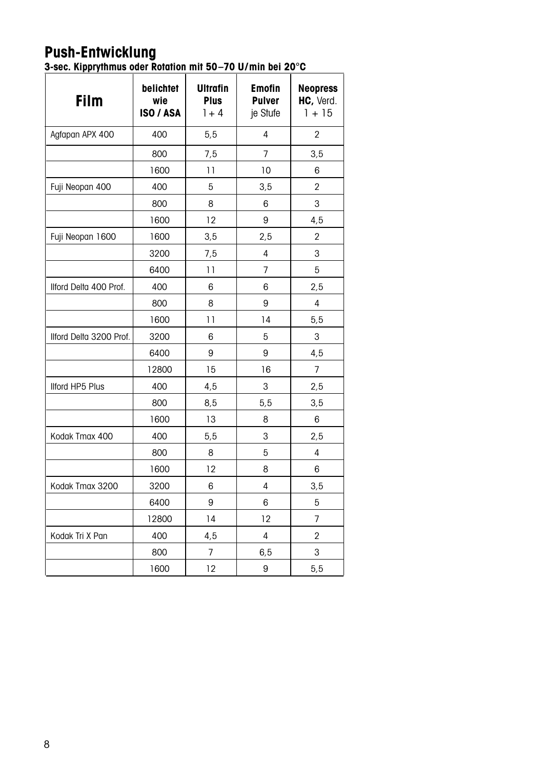### **Push-Entwicklung**

**3-sec. Kipprythmus oder Rotation mit 50–70 U/min bei 20°C**

| <b>Film</b>             | belichtet<br>wie<br>ISO / ASA | <b>Ultrafin</b><br><b>Plus</b><br>$1 + 4$ | <b>Emofin</b><br><b>Pulver</b><br>je Stufe | <b>Neopress</b><br>HC, Verd.<br>$1 + 15$ |
|-------------------------|-------------------------------|-------------------------------------------|--------------------------------------------|------------------------------------------|
| Agfapan APX 400         | 400                           | 5,5                                       | 4                                          | 2                                        |
|                         | 800                           | 7,5                                       | $\overline{7}$                             | 3,5                                      |
|                         | 1600                          | 11                                        | 10                                         | 6                                        |
| Fuji Neopan 400         | 400                           | 5                                         | 3,5                                        | $\overline{2}$                           |
|                         | 800                           | 8                                         | 6                                          | 3                                        |
|                         | 1600                          | 12                                        | 9                                          | 4,5                                      |
| Fuji Neopan 1600        | 1600                          | 3,5                                       | 2,5                                        | $\overline{2}$                           |
|                         | 3200                          | 7,5                                       | 4                                          | 3                                        |
|                         | 6400                          | 11                                        | $\overline{7}$                             | 5                                        |
| Ilford Delta 400 Prof.  | 400                           | 6                                         | 6                                          | 2,5                                      |
|                         | 800                           | 8                                         | 9                                          | 4                                        |
|                         | 1600                          | 11                                        | 14                                         | 5,5                                      |
| Ilford Delta 3200 Prof. | 3200                          | 6                                         | 5                                          | 3                                        |
|                         | 6400                          | 9                                         | 9                                          | 4,5                                      |
|                         | 12800                         | 15                                        | 16                                         | $\overline{7}$                           |
| <b>Ilford HP5 Plus</b>  | 400                           | 4,5                                       | 3                                          | 2,5                                      |
|                         | 800                           | 8,5                                       | 5, 5                                       | 3,5                                      |
|                         | 1600                          | 13                                        | 8                                          | 6                                        |
| Kodak Tmax 400          | 400                           | 5,5                                       | 3                                          | 2,5                                      |
|                         | 800                           | 8                                         | 5                                          | 4                                        |
|                         | 1600                          | 12                                        | 8                                          | 6                                        |
| Kodak Tmax 3200         | 3200                          | 6                                         | 4                                          | 3,5                                      |
|                         | 6400                          | 9                                         | 6                                          | 5                                        |
|                         | 12800                         | 14                                        | 12                                         | 7                                        |
| Kodak Tri X Pan         | 400                           | 4,5                                       | 4                                          | $\overline{2}$                           |
|                         | 800                           | 7                                         | 6, 5                                       | 3                                        |
|                         | 1600                          | 12                                        | 9                                          | 5,5                                      |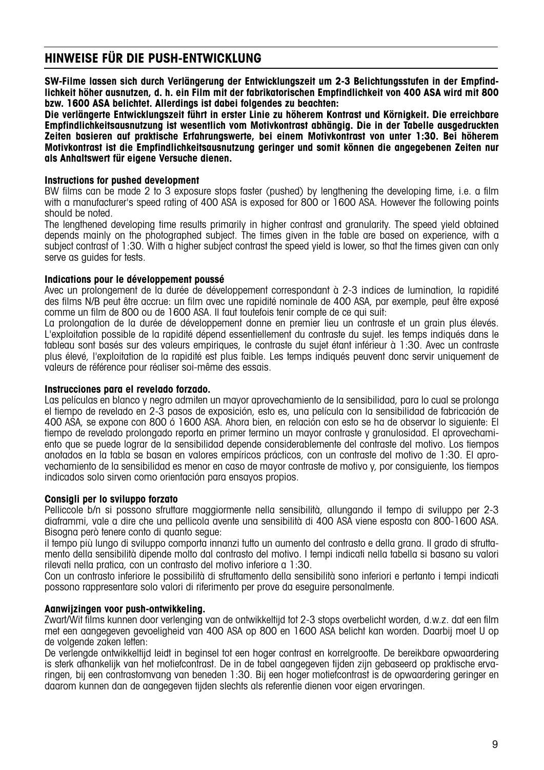### **Hinweise für die Push-Entwicklung**

**SW-Filme lassen sich durch Verlängerung der Entwicklungszeit um 2-3 Belichtungsstufen in der Empfindlichkeit höher ausnutzen, d. h. ein Film mit der fabrikatorischen Empfindlichkeit von 400 ASA wird mit 800 bzw. 1600 ASA belichtet. Allerdings ist dabei folgendes zu beachten:**

**Die verlängerte Entwicklungszeit führt in erster Linie zu höherem Kontrast und Körnigkeit. Die erreichbare Empfindlichkeitsausnutzung ist wesentlich vom Motivkontrast abhängig. Die in der Tabelle ausgedruckten Zeiten basieren auf praktische Erfahrungswerte, bei einem Motivkontrast von unter 1:30. Bei höherem Motivkontrast ist die Empfindlichkeitsausnutzung geringer und somit können die angegebenen Zeiten nur als Anhaltswert für eigene Versuche dienen.**

### **Instructions for pushed development**

BW films can be made 2 to 3 exposure stops faster (pushed) by lengthening the developing time, i.e. a film with a manufacturer's speed rating of 400 ASA is exposed for 800 or 1600 ASA. However the following points should be noted.

The lengthened developing time results primarily in higher contrast and granularity. The speed yield obtained depends mainly on the photographed subject. The times given in the table are based on experience, with a subject contrast of 1:30. With a higher subject contrast the speed yield is lower, so that the times given can only serve as guides for tests.

### **Indications pour le développement poussé**

Avec un prolongement de la durée de développement correspondant à 2-3 indices de lumination, la rapidité des films N/B peut être accrue: un film avec une rapidité nominale de 400 ASA, par exemple, peut être exposé comme un film de 800 ou de 1600 ASA. Il faut toutefois tenir compte de ce qui suit:

La prolongation de la durée de développement donne en premier lieu un contraste et un grain plus élevés. L'exploitation possible de la rapidité dépend essentiellement du contraste du sujet. les temps indiqués dans le tableau sont basés sur des valeurs empiriques, le contraste du sujet étant inférieur à 1:30. Avec un contraste plus élevé, l'exploitation de la rapidité est plus faible. Les temps indiqués peuvent donc servir uniquement de valeurs de référence pour réaliser soi-même des essais.

### **Instrucciones para el revelado forzado.**

Las películas en blanco y negro admiten un mayor aprovechamiento de la sensibilidad, para lo cual se prolonga el tiempo de revelado en 2-3 pasos de exposición, esto es, una película con la sensibilidad de fabricación de 400 ASA, se expone con 800 ó 1600 ASA. Ahora bien, en relación con esto se ha de observar lo siguiente: El tiempo de revelado prolongado reporta en primer termino un mayor contraste y granulosidad. El aprovechamiento que se puede lograr de la sensibilidad depende considerablemente del contraste del motivo. Los tiempos anotados en la tabla se basan en valores empíricos prácticos, con un contraste del motivo de 1:30. El aprovechamiento de la sensibilidad es menor en caso de mayor contraste de motivo y, por consiguiente, los tiempos indicados solo sirven como orientación para ensayos propios.

### **Consigli per lo sviluppo forzato**

Pelliccole b/n si possono sfruttare maggiormente nella sensibilità, allungando il tempo di sviluppo per 2-3 diaframmi, vale a dire che una pellicola avente una sensibilità di 400 ASA viene esposta con 800-1600 ASA. Bisogna però tenere conto di quanto segue:

il tempo più lungo di sviluppo comporta innanzi tutto un aumento del contrasto e della grana. Il grado di sfruttamento della sensibilità dipende molto dal contrasto del motivo. I tempi indicati nella tabella si basano su valori rilevati nella pratica, con un contrasto del motivo inferiore a 1:30.

Con un contrasto inferiore le possibilità di sfruttamento della sensibilità sono inferiori e pertanto i tempi indicati possono rappresentare solo valori di riferimento per prove da eseguire personalmente.

### **Aanwijzingen voor push-ontwikkeling.**

Zwart/Wit films kunnen door verlenging van de ontwikkeltijd tot 2-3 stops overbelicht worden, d.w.z. dat een film met een aangegeven gevoeligheid van 400 ASA op 800 en 1600 ASA belicht kan worden. Daarbij moet U op de volgende zaken letten:

De verlengde ontwikkeltijd leidt in beginsel tot een hoger contrast en korrelgrootte. De bereikbare opwaardering is sterk afhankelijk van het motiefcontrast. De in de tabel aangegeven tijden zijn gebaseerd op praktische ervaringen, bij een contrastomvang van beneden 1:30. Bij een hoger motiefcontrast is de opwaardering geringer en daarom kunnen dan de aangegeven tijden slechts als referentie dienen voor eigen ervaringen.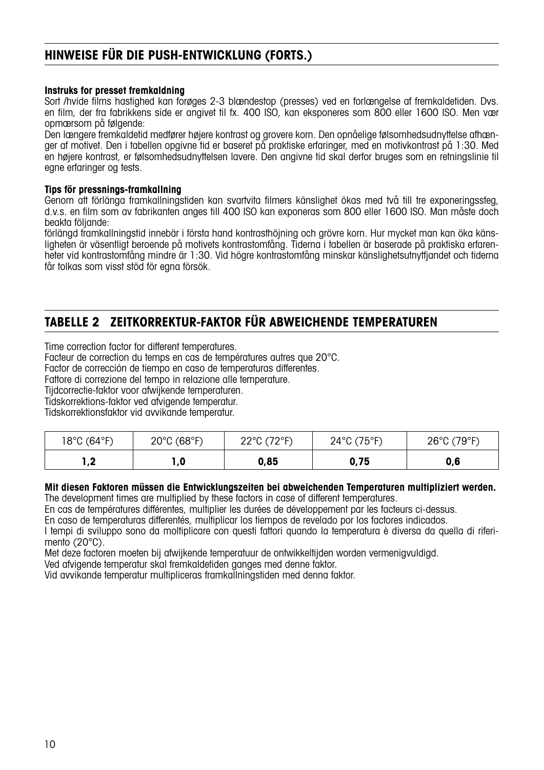### **Hinweise für die Push-Entwicklung (FORTS.)**

### **Instruks for presset fremkaldning**

Sort /hvide films hastighed kan forøges 2-3 blændestop (presses) ved en forlængelse af fremkaldetiden. Dvs. en film, der fra fabrikkens side er angivet til fx. 400 ISO, kan eksponeres som 800 eller 1600 ISO. Men vær opmærsom på følgende:

Den længere fremkaldetid medfører højere kontrast og grovere korn. Den opnåelige følsomhedsudnyttelse afhænger af motivet. Den i tabellen opgivne tid er baseret på praktiske erfaringer, med en motivkontrast på 1:30. Med en højere kontrast, er følsomhedsudnyttelsen lavere. Den angivne tid skal derfor bruges som en retningslinie til egne erfaringer og tests.

### **Tips för pressnings-framkallning**

Genom att förlänga framkallningstiden kan svartvita filmers känslighet ökas med två till tre exponeringssteg, d.v.s. en film som av fabrikanten anges till 400 ISO kan exponeras som 800 eller 1600 ISO. Man måste doch beakta följande:

förlängd framkallningstid innebär i första hand kontrasthöjning och grövre korn. Hur mycket man kan öka känsligheten är väsentligt beroende på motivets kontrastomfång. Tiderna i tabellen är baserade på praktiska erfarenheter vid kontrastomfång mindre är 1:30. Vid högre kontrastomfång minskar känslighetsutnytfjandet och tiderna får tolkas som visst stöd för egna försök.

### **TABELLE 2 ZEITKORREKTUR-FAKTOR FÜR ABWEICHENDE TEMPERATUREN**

Time correction factor for different temperatures.

Facteur de correction du temps en cas de températures autres que 20°C.

Factor de corrección de tiempo en caso de temperaturas differentes.

Fattore di correzione del tempo in relazione alle temperature.

Tijdcorrectie-faktor voor afwijkende temperaturen.

Tidskorrektions-faktor ved afvigende temperatur.

Tidskorrektionsfaktor vid avvikande temperatur.

| 18°C (64°F) | 20°C (68°F) | 22°C (72°F)<br>$\cdot$ 4<br>ᅩ | $24^{\circ}$ C (75 $^{\circ}$ F) | 26°C (79°F) |
|-------------|-------------|-------------------------------|----------------------------------|-------------|
| ◦<br>, .    | 0, ا        | 0,85                          | 0,75                             | 0,6         |

### **Mit diesen Faktoren müssen die Entwicklungszeiten bei abweichenden Temperaturen multipliziert werden.**

The development times are multiplied by these factors in case of different temperatures.

En cas de températures différentes, multiplier les durées de développement par les facteurs ci-dessus.

En caso de temperaturas differentés, multiplicar los tiempos de revelado por los factores indicados.

I tempi di sviluppo sono da moltiplicare con questi fattori quando la temperatura è diversa da quella di riferimento (20°C).

Met deze factoren moeten bij afwijkende temperatuur de ontwikkeltijden worden vermenigvuldigd.

Ved afvigende temperatur skal fremkaldetiden ganges med denne faktor.

Vid avvikande temperatur multipliceras framkallningstiden med denna faktor.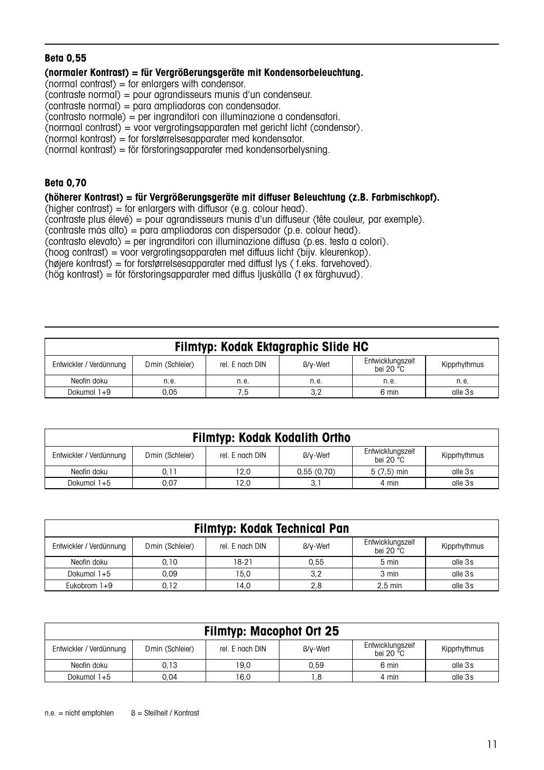### **Beta 0,55**

### **(normaler Kontrast) = für Vergrößerungsgeräte mit Kondensorbeleuchtung.**

 $\Gamma$ (normal contrast) = for enlargers with condensor.

```
(contraste normal) = pour agrandisseurs munis d'un condenseur.
```
 $\Gamma$  contraste normal $\Gamma$  = para ampliadoras con condensador.

(contrasto normale) = per ingranditori con illuminazione a condensatori.

(normaal contrast) = voor vergrotingsapparaten met gericht licht (condensor).

 $(normal kontrast) = for for starrelses a polar part of the model.$ 

 $\hat{C}$ normal kontrast $\hat{D}$  = för förstoringsapparater med kondensorbelysning.

### **Beta 0,70**

### **(höherer Kontrast) = für Vergrößerungsgeräte mit diffuser Beleuchtung (z.B. Farbmischkopf).**

 $(hiaher contrast) = for enlargive with diffusor (e.g., colour head).$ 

(contraste plus élevé) = pour agrandisseurs munis d'un diffuseur (tête couleur, par exemple).

 $\overline{\text{const}}$  contraste más alto $\overline{\text{const}}$  = para ampliadoras con dispersador (p.e. colour head).

(contrasto elevato) = per ingranditori con illuminazione diffusa (p.es. testa a colori).

(hoog contrast) = voor vergrotingsapparaten met diffuus licht (bijv. kleurenkop).

(højere kontrast) = for forstørrelsesapparater med diffust lys ( f.eks. farvehoved).

(hög kontrast) = för förstoringsapparater med diffus ljuskälla (t ex färghuvud).

| Filmtyp: Kodak Ektagraphic Slide HC |                 |                 |          |                                        |              |  |  |
|-------------------------------------|-----------------|-----------------|----------|----------------------------------------|--------------|--|--|
| Entwickler / Verdünnung             | Dmin (Schleier) | rel. F nach DIN | B/v-Wert | Entwicklungszeit<br>hei 20 $\degree$ C | Kipprhythmus |  |  |
| Neofin doku                         | n.e.            | n.e.            | n.e.     | n.e.                                   | n.e.         |  |  |
| Dokumol 1+9                         | 0.05            | 7.5             | 3.2      | 6 min                                  | alle 3s      |  |  |

| Filmtyp: Kodak Kodalith Ortho                                                                                                       |      |      |            |              |         |  |  |
|-------------------------------------------------------------------------------------------------------------------------------------|------|------|------------|--------------|---------|--|--|
| Entwicklungszeit<br>rel. E nach DIN<br>B/v-Wert<br>Dmin (Schleier)<br>Entwickler / Verdünnung<br>Kipprhythmus<br>hei 20 $\degree$ C |      |      |            |              |         |  |  |
| Neofin doku                                                                                                                         | 0.11 | 12.0 | 0.55(0.70) | $5(7,5)$ min | alle 3s |  |  |
| Dokumol 1+5                                                                                                                         | 0.07 | 12.0 | 3,1        | 4 min        | alle 3s |  |  |

| Filmtyp: Kodak Technical Pan |                 |                 |          |                                        |              |  |  |
|------------------------------|-----------------|-----------------|----------|----------------------------------------|--------------|--|--|
| Entwickler / Verdünnung      | Dmin (Schleier) | rel. F nach DIN | B/v-Wert | Entwicklungszeit<br>hei 20 $\degree$ C | Kipprhythmus |  |  |
| Neofin doku                  | 0.10            | 18-21           | 0.55     | $5 \text{ min}$                        | alle 3s      |  |  |
| Dokumol 1+5                  | 0.09            | 15.0            | 3,2      | 3 min                                  | alle 3s      |  |  |
| Eukobrom $1+9$               | 0.12            | 14.0            | 2,8      | $2.5$ min                              | alle 3s      |  |  |

| Filmtyp: Macophot Ort 25 |                 |                 |          |                               |              |  |  |
|--------------------------|-----------------|-----------------|----------|-------------------------------|--------------|--|--|
| Entwickler / Verdünnung  | Dmin (Schleier) | rel. E nach DIN | B/v-Wert | Entwicklungszeit<br>bei 20 °C | Kipprhythmus |  |  |
| Neofin doku              | 0.13            | 19.0            | 0.59     | 6 min                         | alle 3s      |  |  |
| Dokumol 1+5              | 0.04            | 16.0            | 1.8      | 4 min                         | alle 3s      |  |  |